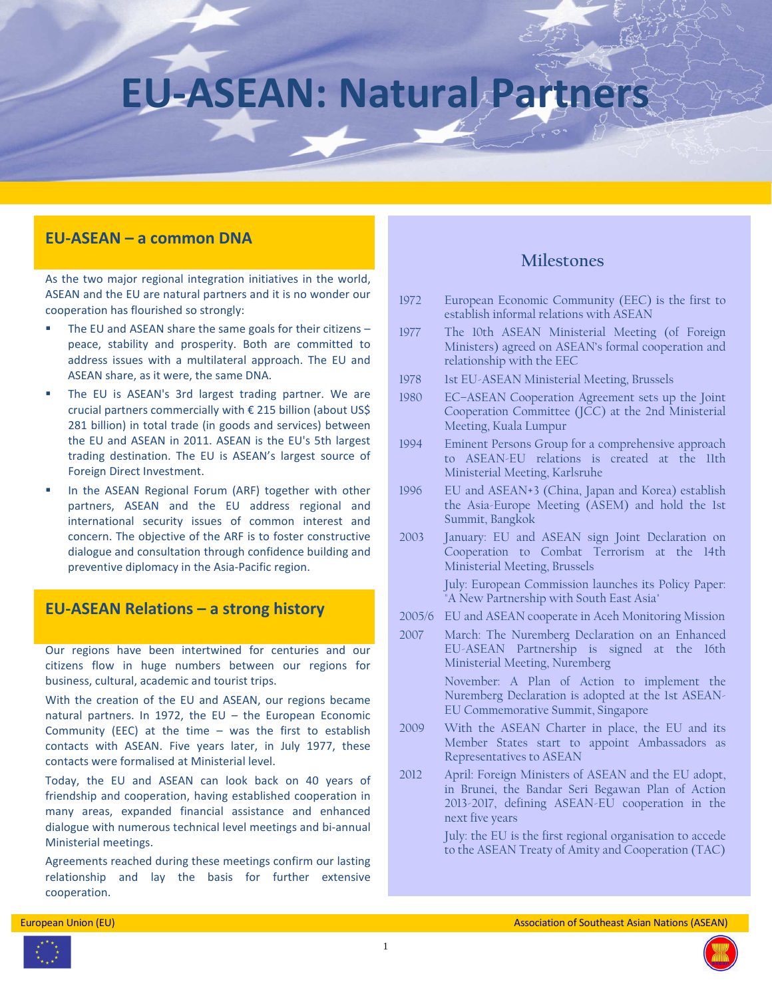# **EU-ASEAN: Natural Partners**

# **EU-ASEAN – a common DNA**

As the two major regional integration initiatives in the world, ASEAN and the EU are natural partners and it is no wonder our cooperation has flourished so strongly:

- The EU and ASEAN share the same goals for their citizens peace, stability and prosperity. Both are committed to address issues with a multilateral approach. The EU and ASEAN share, as it were, the same DNA.
- The EU is ASEAN's 3rd largest trading partner. We are crucial partners commercially with € 215 billion (about US\$ 281 billion) in total trade (in goods and services) between the EU and ASEAN in 2011. ASEAN is the EU's 5th largest trading destination. The EU is ASEAN's largest source of Foreign Direct Investment.
- In the ASEAN Regional Forum (ARF) together with other partners, ASEAN and the EU address regional and international security issues of common interest and concern. The objective of the ARF is to foster constructive dialogue and consultation through confidence building and preventive diplomacy in the Asia-Pacific region.

# **EU-ASEAN Relations – a strong history**

Our regions have been intertwined for centuries and our citizens flow in huge numbers between our regions for business, cultural, academic and tourist trips.

With the creation of the EU and ASEAN, our regions became natural partners. In 1972, the EU – the European Economic Community (EEC) at the time  $-$  was the first to establish contacts with ASEAN. Five years later, in July 1977, these contacts were formalised at Ministerial level.

Today, the EU and ASEAN can look back on 40 years of friendship and cooperation, having established cooperation in many areas, expanded financial assistance and enhanced dialogue with numerous technical level meetings and bi-annual Ministerial meetings.

Agreements reached during these meetings confirm our lasting relationship and lay the basis for further extensive cooperation.

# **Milestones**

- 1972 European Economic Community (EEC) is the first to establish informal relations with ASEAN
- 1977 The 10th ASEAN Ministerial Meeting (of Foreign Ministers) agreed on ASEAN's formal cooperation and relationship with the EEC
- 1978 1st EU-ASEAN Ministerial Meeting, Brussels
- 1980 EC–ASEAN Cooperation Agreement sets up the Joint Cooperation Committee (JCC) at the 2nd Ministerial Meeting, Kuala Lumpur
- 1994 Eminent Persons Group for a comprehensive approach to ASEAN-EU relations is created at the 11th Ministerial Meeting, Karlsruhe
- 1996 EU and ASEAN+3 (China, Japan and Korea) establish the Asia-Europe Meeting (ASEM) and hold the 1st Summit, Bangkok
- 2003 January: EU and ASEAN sign Joint Declaration on Cooperation to Combat Terrorism at the 14th Ministerial Meeting, Brussels

July: European Commission launches its Policy Paper: "A New Partnership with South East Asia"

- 2005/6 EU and ASEAN cooperate in Aceh Monitoring Mission
- 2007 March: The Nuremberg Declaration on an Enhanced EU-ASEAN Partnership is signed at the 16th Ministerial Meeting, Nuremberg

November: A Plan of Action to implement the Nuremberg Declaration is adopted at the 1st ASEAN-EU Commemorative Summit, Singapore

- 2009 With the ASEAN Charter in place, the EU and its Member States start to appoint Ambassadors as Representatives to ASEAN
- 2012 April: Foreign Ministers of ASEAN and the EU adopt, in Brunei, the Bandar Seri Begawan Plan of Action 2013-2017, defining ASEAN-EU cooperation in the next five years

July: the EU is the first regional organisation to accede to the ASEAN Treaty of Amity and Cooperation (TAC)



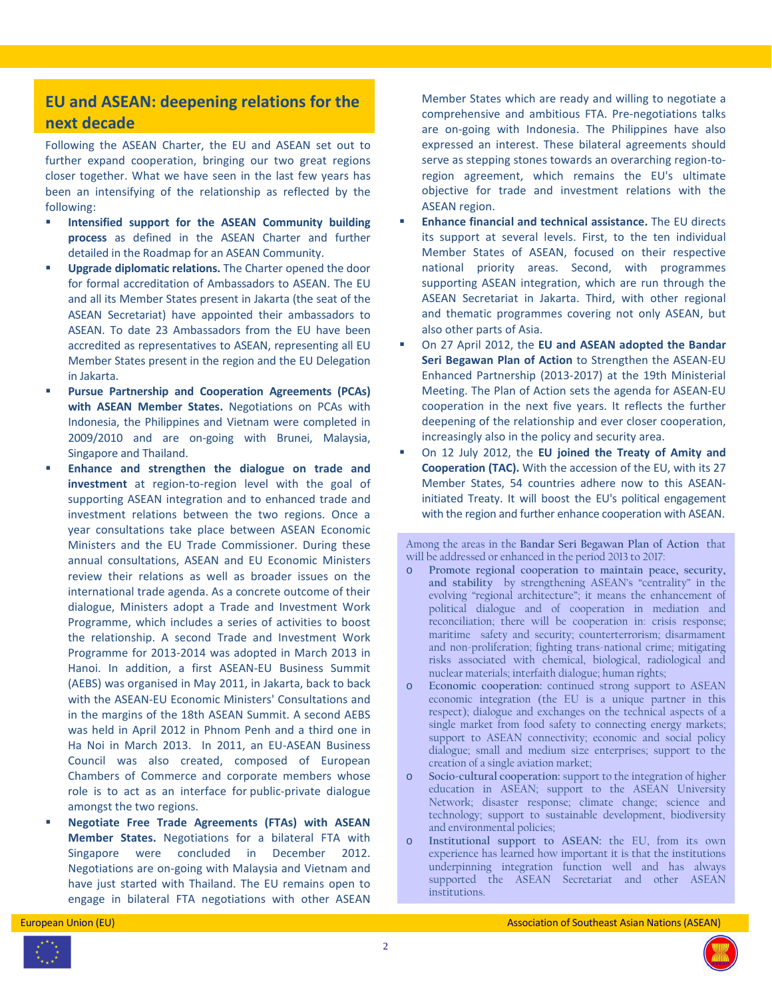# **EU and ASEAN: deepening relations for the next decade**

Following the ASEAN Charter, the EU and ASEAN set out to further expand cooperation, bringing our two great regions closer together. What we have seen in the last few years has been an intensifying of the relationship as reflected by the following:

- **Intensified support for the ASEAN Community building process** as defined in the ASEAN Charter and further detailed in the Roadmap for an ASEAN Community.
- **Upgrade diplomatic relations.** The Charter opened the door for formal accreditation of Ambassadors to ASEAN. The EU and all its Member States present in Jakarta (the seat of the ASEAN Secretariat) have appointed their ambassadors to ASEAN. To date 23 Ambassadors from the EU have been accredited as representatives to ASEAN, representing all EU Member States present in the region and the EU Delegation in Jakarta.
- **Pursue Partnership and Cooperation Agreements (PCAs) with ASEAN Member States.** Negotiations on PCAs with Indonesia, the Philippines and Vietnam were completed in 2009/2010 and are on-going with Brunei, Malaysia, Singapore and Thailand.
- **Enhance and strengthen the dialogue on trade and investment** at region-to-region level with the goal of supporting ASEAN integration and to enhanced trade and investment relations between the two regions. Once a year consultations take place between ASEAN Economic Ministers and the EU Trade Commissioner. During these annual consultations, ASEAN and EU Economic Ministers review their relations as well as broader issues on the international trade agenda. As a concrete outcome of their dialogue, Ministers adopt a Trade and Investment Work Programme, which includes a series of activities to boost the relationship. A second Trade and Investment Work Programme for 2013-2014 was adopted in March 2013 in Hanoi. In addition, a first ASEAN-EU Business Summit (AEBS) was organised in May 2011, in Jakarta, back to back with the ASEAN-EU Economic Ministers' Consultations and in the margins of the 18th ASEAN Summit. A second AEBS was held in April 2012 in Phnom Penh and a third one in Ha Noi in March 2013. In 2011, an EU-ASEAN Business Council was also created, composed of European Chambers of Commerce and corporate members whose role is to act as an interface for public-private dialogue amongst the two regions.
- **Negotiate Free Trade Agreements (FTAs) with ASEAN Member States.** Negotiations for a bilateral FTA with Singapore were concluded in December 2012. Negotiations are on-going with Malaysia and Vietnam and have just started with Thailand. The EU remains open to engage in bilateral FTA negotiations with other ASEAN

Member States which are ready and willing to negotiate a comprehensive and ambitious FTA. Pre-negotiations talks are on-going with Indonesia. The Philippines have also expressed an interest. These bilateral agreements should serve as stepping stones towards an overarching region-toregion agreement, which remains the EU's ultimate objective for trade and investment relations with the ASEAN region.

- **Enhance financial and technical assistance.** The EU directs its support at several levels. First, to the ten individual Member States of ASEAN, focused on their respective national priority areas. Second, with programmes supporting ASEAN integration, which are run through the ASEAN Secretariat in Jakarta. Third, with other regional and thematic programmes covering not only ASEAN, but also other parts of Asia.
- On 27 April 2012, the **EU and ASEAN adopted the Bandar Seri Begawan Plan of Action** to Strengthen the ASEAN-EU Enhanced Partnership (2013-2017) at the 19th Ministerial Meeting. The Plan of Action sets the agenda for ASEAN-EU cooperation in the next five years. It reflects the further deepening of the relationship and ever closer cooperation, increasingly also in the policy and security area.
- On 12 July 2012, the **EU joined the Treaty of Amity and Cooperation (TAC).** With the accession of the EU, with its 27 Member States, 54 countries adhere now to this ASEANinitiated Treaty. It will boost the EU's political engagement with the region and further enhance cooperation with ASEAN.

Among the areas in the **Bandar Seri Begawan Plan of Action** that will be addressed or enhanced in the period 2013 to 2017:

- o **Promote regional cooperation to maintain peace, security, and stability** by strengthening ASEAN's "centrality" in the evolving "regional architecture"; it means the enhancement of political dialogue and of cooperation in mediation and reconciliation; there will be cooperation in: crisis response; maritime safety and security; counterterrorism; disarmament and non-proliferation; fighting trans-national crime; mitigating risks associated with chemical, biological, radiological and nuclear materials; interfaith dialogue; human rights;
- o **Economic cooperation:** continued strong support to ASEAN economic integration (the EU is a unique partner in this respect); dialogue and exchanges on the technical aspects of a single market from food safety to connecting energy markets; support to ASEAN connectivity; economic and social policy dialogue; small and medium size enterprises; support to the creation of a single aviation market;
- o **Socio-cultural cooperation:** support to the integration of higher education in ASEAN; support to the ASEAN University Network; disaster response; climate change; science and technology; support to sustainable development, biodiversity and environmental policies;
- o **Institutional support to ASEAN:** the EU, from its own experience has learned how important it is that the institutions underpinning integration function well and has always supported the ASEAN Secretariat and other ASEAN institutions.



2

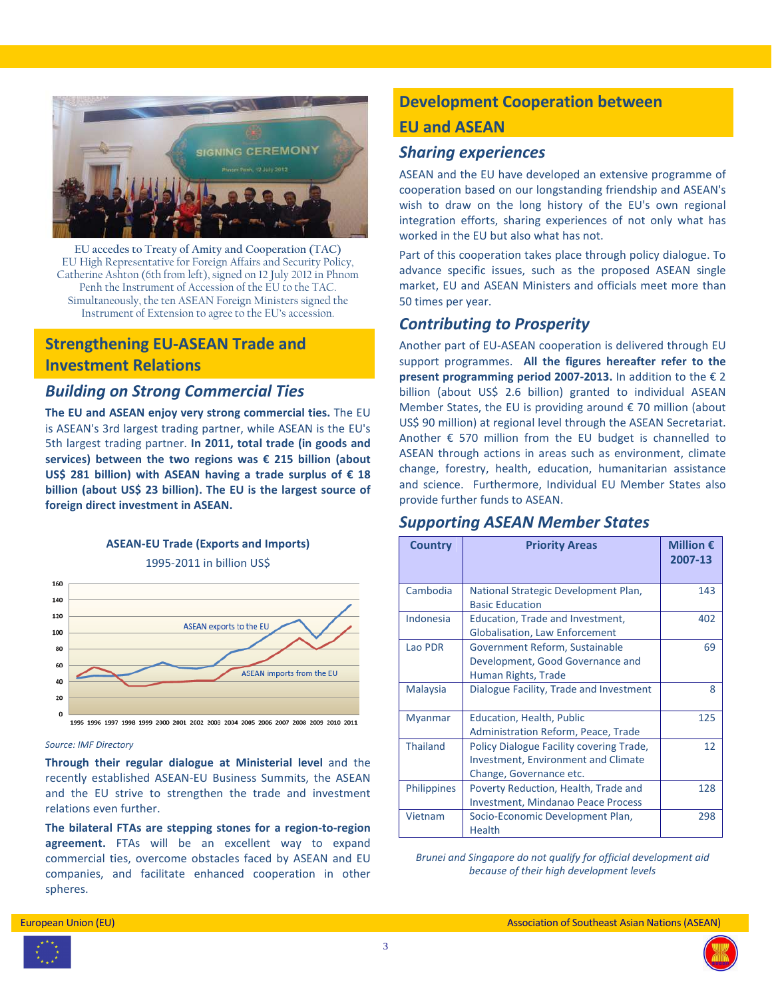

**EU accedes to Treaty of Amity and Cooperation (TAC)** EU High Representative for Foreign Affairs and Security Policy, Catherine Ashton (6th from left), signed on 12 July 2012 in Phnom Penh the Instrument of Accession of the EU to the TAC. Simultaneously, the ten ASEAN Foreign Ministers signed the Instrument of Extension to agree to the EU's accession.

# **Strengthening EU-ASEAN Trade and Investment Relations**

# *Building on Strong Commercial Ties*

**The EU and ASEAN enjoy very strong commercial ties.** The EU is ASEAN's 3rd largest trading partner, while ASEAN is the EU's 5th largest trading partner. **In 2011, total trade (in goods and services) between the two regions was € 215 billion (about US\$ 281 billion) with ASEAN having a trade surplus of € 18 billion (about US\$ 23 billion). The EU is the largest source of foreign direct investment in ASEAN.** 



#### *Source: IMF Directory*

**Through their regular dialogue at Ministerial level** and the recently established ASEAN-EU Business Summits, the ASEAN and the EU strive to strengthen the trade and investment relations even further.

**The bilateral FTAs are stepping stones for a region-to-region agreement.** FTAs will be an excellent way to expand commercial ties, overcome obstacles faced by ASEAN and EU companies, and facilitate enhanced cooperation in other spheres.

# **Development Cooperation between EU and ASEAN**

## *Sharing experiences*

ASEAN and the EU have developed an extensive programme of cooperation based on our longstanding friendship and ASEAN's wish to draw on the long history of the EU's own regional integration efforts, sharing experiences of not only what has worked in the EU but also what has not.

Part of this cooperation takes place through policy dialogue. To advance specific issues, such as the proposed ASEAN single market, EU and ASEAN Ministers and officials meet more than 50 times per year.

## *Contributing to Prosperity*

Another part of EU-ASEAN cooperation is delivered through EU support programmes. **All the figures hereafter refer to the present programming period 2007-2013.** In addition to the € 2 billion (about US\$ 2.6 billion) granted to individual ASEAN Member States, the EU is providing around € 70 million (about US\$ 90 million) at regional level through the ASEAN Secretariat. Another  $\epsilon$  570 million from the EU budget is channelled to ASEAN through actions in areas such as environment, climate change, forestry, health, education, humanitarian assistance and science. Furthermore, Individual EU Member States also provide further funds to ASEAN.

## *Supporting ASEAN Member States*

| <b>Country</b>     | <b>Priority Areas</b>                                                                                             | Million $\epsilon$<br>2007-13 |
|--------------------|-------------------------------------------------------------------------------------------------------------------|-------------------------------|
| Cambodia           | National Strategic Development Plan,<br><b>Basic Education</b>                                                    | 143                           |
| Indonesia          | Education, Trade and Investment,<br><b>Globalisation, Law Enforcement</b>                                         | 402                           |
| Lao PDR            | Government Reform, Sustainable<br>Development, Good Governance and<br>Human Rights, Trade                         | 69                            |
| Malaysia           | Dialogue Facility, Trade and Investment                                                                           | 8                             |
| <b>Myanmar</b>     | Education, Health, Public<br>Administration Reform, Peace, Trade                                                  | 125                           |
| <b>Thailand</b>    | Policy Dialogue Facility covering Trade,<br><b>Investment, Environment and Climate</b><br>Change, Governance etc. | 12                            |
| <b>Philippines</b> | Poverty Reduction, Health, Trade and<br><b>Investment, Mindanao Peace Process</b>                                 | 128                           |
| Vietnam            | Socio-Economic Development Plan,<br><b>Health</b>                                                                 | 298                           |

*Brunei and Singapore do not qualify for official development aid because of their high development levels* 



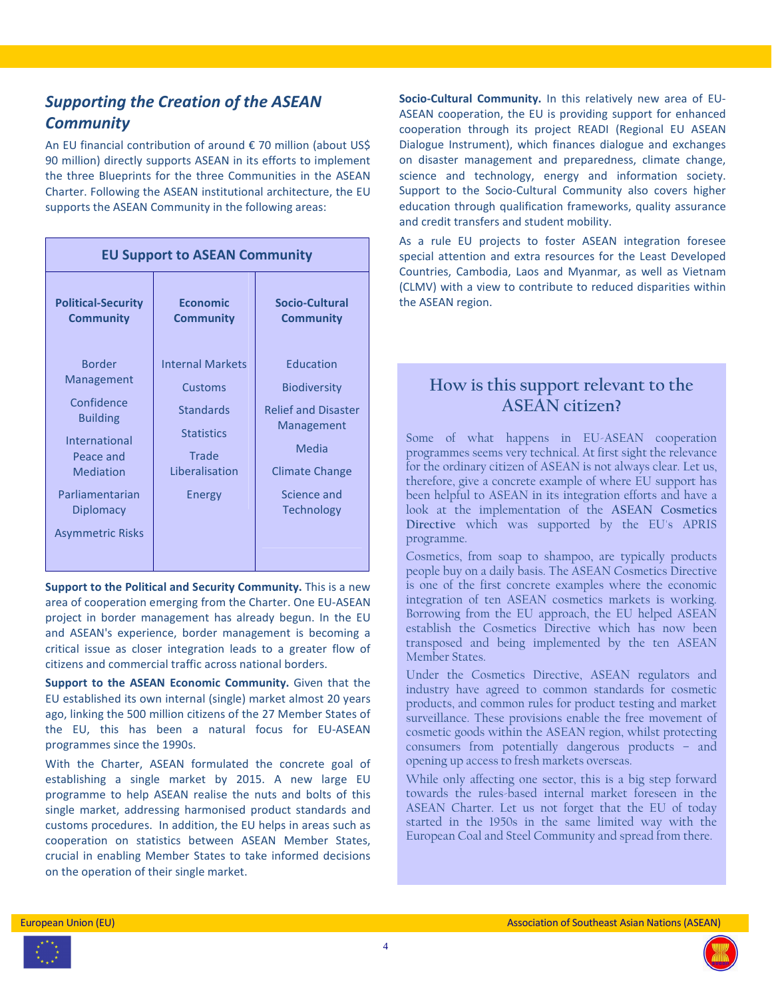# *Supporting the Creation of the ASEAN Community*

An EU financial contribution of around € 70 million (about US\$ 90 million) directly supports ASEAN in its efforts to implement the three Blueprints for the three Communities in the ASEAN Charter. Following the ASEAN institutional architecture, the EU supports the ASEAN Community in the following areas:

| <b>EU Support to ASEAN Community</b>                                                                                                                                      |                                                                                                                  |                                                                                                                                                    |  |  |
|---------------------------------------------------------------------------------------------------------------------------------------------------------------------------|------------------------------------------------------------------------------------------------------------------|----------------------------------------------------------------------------------------------------------------------------------------------------|--|--|
| <b>Political-Security</b><br><b>Community</b>                                                                                                                             | <b>Economic</b><br><b>Community</b>                                                                              | Socio-Cultural<br><b>Community</b>                                                                                                                 |  |  |
| <b>Border</b><br>Management<br>Confidence<br><b>Building</b><br>International<br>Peace and<br>Mediation<br>Parliamentarian<br><b>Diplomacy</b><br><b>Asymmetric Risks</b> | <b>Internal Markets</b><br>Customs<br><b>Standards</b><br><b>Statistics</b><br>Trade<br>Liberalisation<br>Energy | Education<br><b>Biodiversity</b><br><b>Relief and Disaster</b><br>Management<br>Media<br><b>Climate Change</b><br>Science and<br><b>Technology</b> |  |  |

**Support to the Political and Security Community.** This is a new area of cooperation emerging from the Charter. One EU-ASEAN project in border management has already begun. In the EU and ASEAN's experience, border management is becoming a critical issue as closer integration leads to a greater flow of citizens and commercial traffic across national borders.

**Support to the ASEAN Economic Community.** Given that the EU established its own internal (single) market almost 20 years ago, linking the 500 million citizens of the 27 Member States of the EU, this has been a natural focus for EU-ASEAN programmes since the 1990s.

With the Charter, ASEAN formulated the concrete goal of establishing a single market by 2015. A new large EU programme to help ASEAN realise the nuts and bolts of this single market, addressing harmonised product standards and customs procedures. In addition, the EU helps in areas such as cooperation on statistics between ASEAN Member States, crucial in enabling Member States to take informed decisions on the operation of their single market.

**Socio-Cultural Community.** In this relatively new area of EU-ASEAN cooperation, the EU is providing support for enhanced cooperation through its project READI (Regional EU ASEAN Dialogue Instrument), which finances dialogue and exchanges on disaster management and preparedness, climate change, science and technology, energy and information society. Support to the Socio-Cultural Community also covers higher education through qualification frameworks, quality assurance and credit transfers and student mobility.

As a rule EU projects to foster ASEAN integration foresee special attention and extra resources for the Least Developed Countries, Cambodia, Laos and Myanmar, as well as Vietnam (CLMV) with a view to contribute to reduced disparities within the ASEAN region.

# **How is this support relevant to the ASEAN citizen?**

Some of what happens in EU-ASEAN cooperation programmes seems very technical. At first sight the relevance for the ordinary citizen of ASEAN is not always clear. Let us, therefore, give a concrete example of where EU support has been helpful to ASEAN in its integration efforts and have a look at the implementation of the **ASEAN Cosmetics Directive** which was supported by the EU's APRIS programme.

Cosmetics, from soap to shampoo, are typically products people buy on a daily basis. The ASEAN Cosmetics Directive is one of the first concrete examples where the economic integration of ten ASEAN cosmetics markets is working. Borrowing from the EU approach, the EU helped ASEAN establish the Cosmetics Directive which has now been transposed and being implemented by the ten ASEAN Member States.

Under the Cosmetics Directive, ASEAN regulators and industry have agreed to common standards for cosmetic products, and common rules for product testing and market surveillance. These provisions enable the free movement of cosmetic goods within the ASEAN region, whilst protecting consumers from potentially dangerous products – and opening up access to fresh markets overseas.

While only affecting one sector, this is a big step forward towards the rules-based internal market foreseen in the ASEAN Charter. Let us not forget that the EU of today started in the 1950s in the same limited way with the European Coal and Steel Community and spread from there.



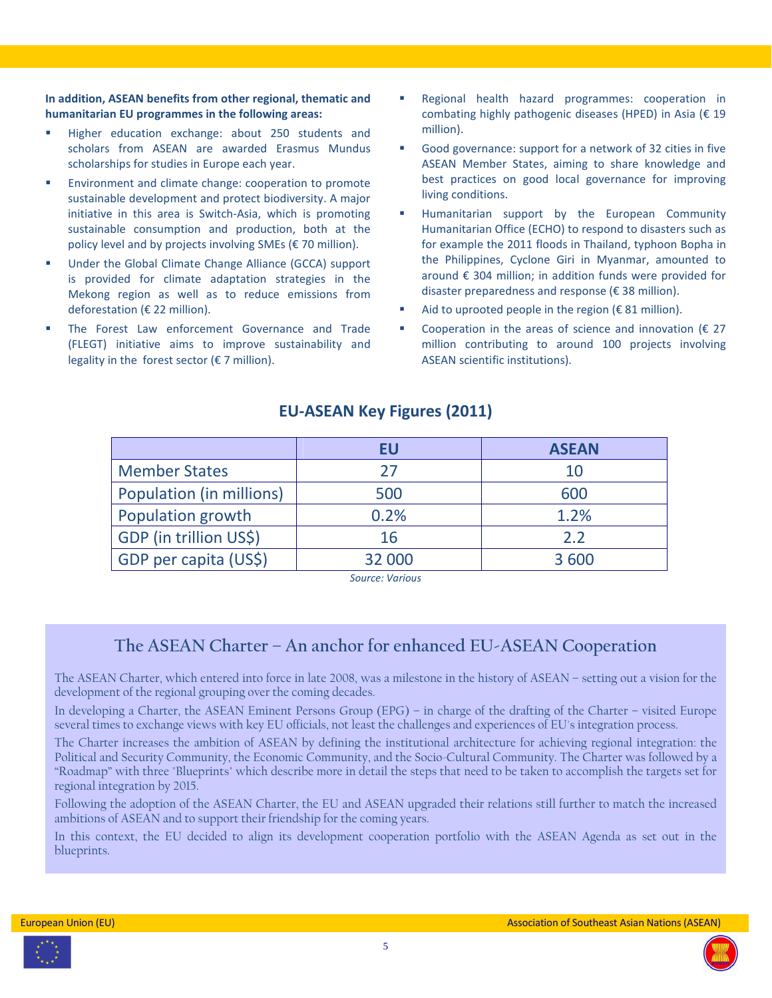**In addition, ASEAN benefits from other regional, thematic and humanitarian EU programmes in the following areas:** 

- Higher education exchange: about 250 students and scholars from ASEAN are awarded Erasmus Mundus scholarships for studies in Europe each year.
- Environment and climate change: cooperation to promote sustainable development and protect biodiversity. A major initiative in this area is Switch-Asia, which is promoting sustainable consumption and production, both at the policy level and by projects involving SMEs (€ 70 million).
- Under the Global Climate Change Alliance (GCCA) support is provided for climate adaptation strategies in the Mekong region as well as to reduce emissions from deforestation (€ 22 million).
- The Forest Law enforcement Governance and Trade (FLEGT) initiative aims to improve sustainability and legality in the forest sector ( $\epsilon$  7 million).
- Regional health hazard programmes: cooperation in combating highly pathogenic diseases (HPED) in Asia (€ 19 million).
- Good governance: support for a network of 32 cities in five ASEAN Member States, aiming to share knowledge and best practices on good local governance for improving living conditions.
- Humanitarian support by the European Community Humanitarian Office (ECHO) to respond to disasters such as for example the 2011 floods in Thailand, typhoon Bopha in the Philippines, Cyclone Giri in Myanmar, amounted to around € 304 million; in addition funds were provided for disaster preparedness and response (€ 38 million).
- Aid to uprooted people in the region ( $\epsilon$  81 million).
- Cooperation in the areas of science and innovation ( $\epsilon$  27 million contributing to around 100 projects involving ASEAN scientific institutions).

|                          | EU     | <b>ASEAN</b> |
|--------------------------|--------|--------------|
| <b>Member States</b>     | 27     | 10           |
| Population (in millions) | 500    | 600          |
| Population growth        | 0.2%   | 1.2%         |
| GDP (in trillion US\$)   | 16     | 2.2          |
| GDP per capita (US\$)    | 32 000 | 3600         |

# **EU-ASEAN Key Figures (2011)**

*Source: Various* 

# **The ASEAN Charter – An anchor for enhanced EU-ASEAN Cooperation**

The ASEAN Charter, which entered into force in late 2008, was a milestone in the history of ASEAN – setting out a vision for the development of the regional grouping over the coming decades.

In developing a Charter, the ASEAN Eminent Persons Group (EPG) – in charge of the drafting of the Charter – visited Europe several times to exchange views with key EU officials, not least the challenges and experiences of EU's integration process.

The Charter increases the ambition of ASEAN by defining the institutional architecture for achieving regional integration: the Political and Security Community, the Economic Community, and the Socio-Cultural Community. The Charter was followed by a "Roadmap" with three "Blueprints" which describe more in detail the steps that need to be taken to accomplish the targets set for regional integration by 2015.

Following the adoption of the ASEAN Charter, the EU and ASEAN upgraded their relations still further to match the increased ambitions of ASEAN and to support their friendship for the coming years.

In this context, the EU decided to align its development cooperation portfolio with the ASEAN Agenda as set out in the blueprints.



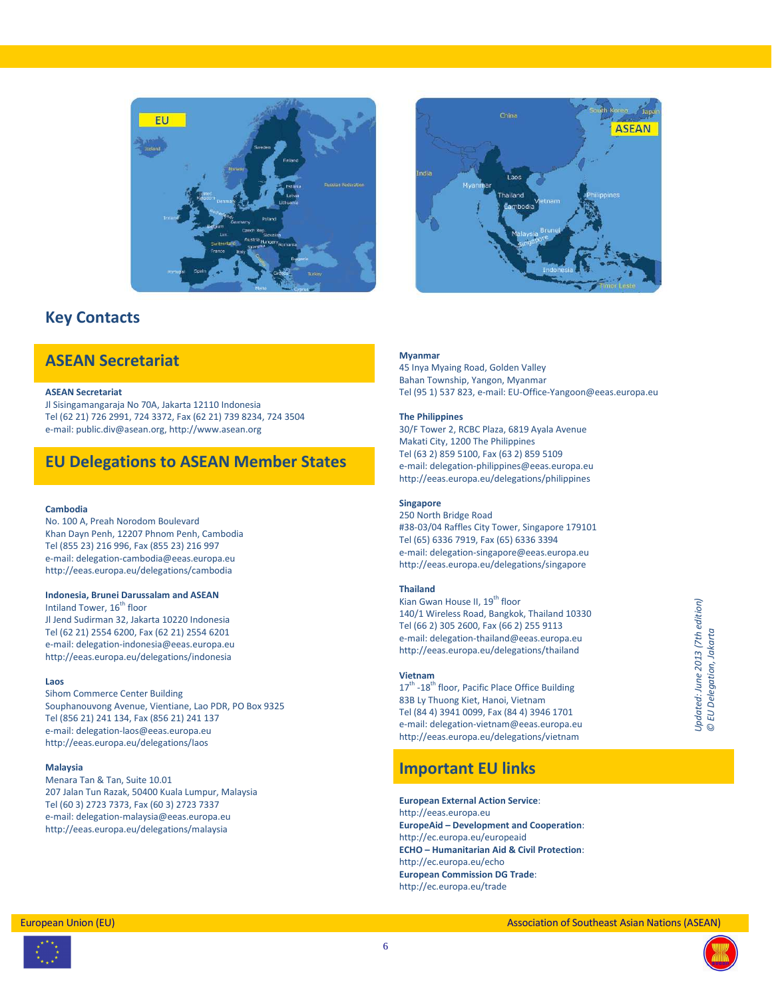



# **Key Contacts**

# **ASEAN Secretariat**

#### **ASEAN Secretariat**

Jl Sisingamangaraja No 70A, Jakarta 12110 Indonesia Tel (62 21) 726 2991, 724 3372, Fax (62 21) 739 8234, 724 3504 e-mail: public.div@asean.org, http://www.asean.org

# **EU Delegations to ASEAN Member States**

#### **Cambodia**

No. 100 A, Preah Norodom Boulevard Khan Dayn Penh, 12207 Phnom Penh, Cambodia Tel (855 23) 216 996, Fax (855 23) 216 997 e-mail: delegation-cambodia@eeas.europa.eu http://eeas.europa.eu/delegations/cambodia

#### **Indonesia, Brunei Darussalam and ASEAN**

Intiland Tower, 16<sup>th</sup> floor Jl Jend Sudirman 32, Jakarta 10220 Indonesia Tel (62 21) 2554 6200, Fax (62 21) 2554 6201 e-mail: delegation-indonesia@eeas.europa.eu http://eeas.europa.eu/delegations/indonesia

#### **Laos**

Sihom Commerce Center Building Souphanouvong Avenue, Vientiane, Lao PDR, PO Box 9325 Tel (856 21) 241 134, Fax (856 21) 241 137 e-mail: delegation-laos@eeas.europa.eu http://eeas.europa.eu/delegations/laos

#### **Malaysia**

Menara Tan & Tan, Suite 10.01 207 Jalan Tun Razak, 50400 Kuala Lumpur, Malaysia Tel (60 3) 2723 7373, Fax (60 3) 2723 7337 e-mail: delegation-malaysia@eeas.europa.eu http://eeas.europa.eu/delegations/malaysia

#### **Myanmar**

45 Inya Myaing Road, Golden Valley Bahan Township, Yangon, Myanmar Tel (95 1) 537 823, e-mail: EU-Office-Yangoon@eeas.europa.eu

#### **The Philippines**

30/F Tower 2, RCBC Plaza, 6819 Ayala Avenue Makati City, 1200 The Philippines Tel (63 2) 859 5100, Fax (63 2) 859 5109 e-mail: delegation-philippines@eeas.europa.eu http://eeas.europa.eu/delegations/philippines

#### **Singapore**

250 North Bridge Road #38-03/04 Raffles City Tower, Singapore 179101 Tel (65) 6336 7919, Fax (65) 6336 3394 e-mail: delegation-singapore@eeas.europa.eu http://eeas.europa.eu/delegations/singapore

#### **Thailand**

Kian Gwan House II, 19<sup>th</sup> floor 140/1 Wireless Road, Bangkok, Thailand 10330 Tel (66 2) 305 2600, Fax (66 2) 255 9113 e-mail: delegation-thailand@eeas.europa.eu http://eeas.europa.eu/delegations/thailand

#### **Vietnam**

17<sup>th</sup> -18<sup>th</sup> floor, Pacific Place Office Building 83B Ly Thuong Kiet, Hanoi, Vietnam Tel (84 4) 3941 0099, Fax (84 4) 3946 1701 e-mail: delegation-vietnam@eeas.europa.eu http://eeas.europa.eu/delegations/vietnam

## **Important EU links**

**European External Action Service**: http://eeas.europa.eu **EuropeAid – Development and Cooperation**: http://ec.europa.eu/europeaid **ECHO – Humanitarian Aid & Civil Protection**: http://ec.europa.eu/echo **European Commission DG Trade**: http://ec.europa.eu/trade



6

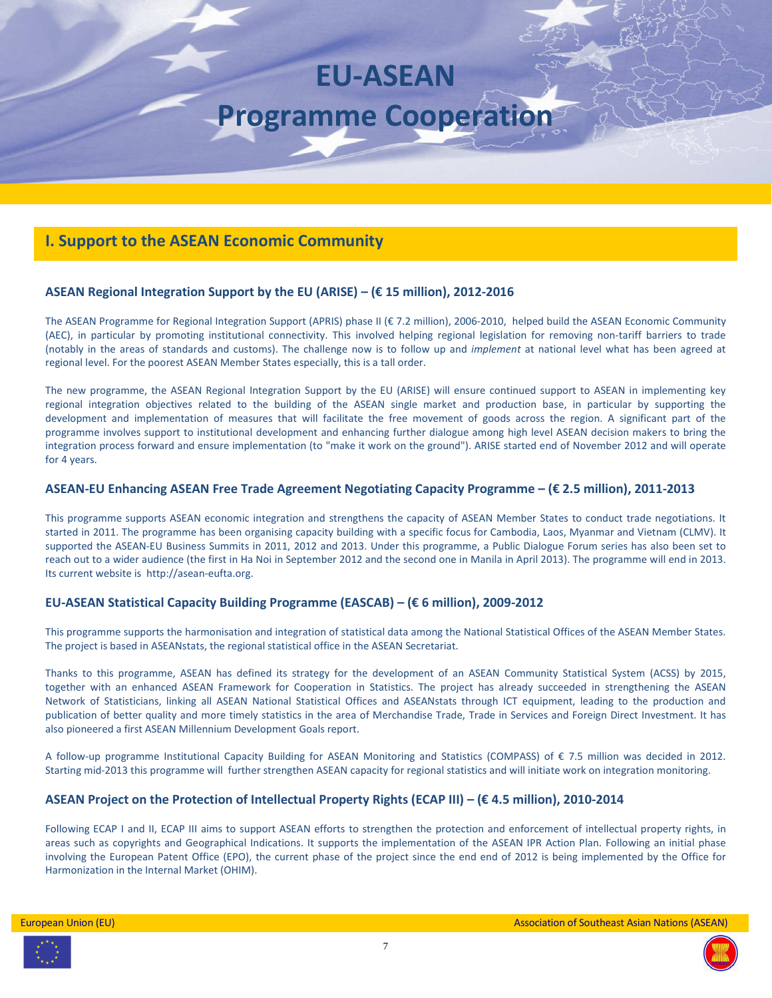# **EU-ASEAN Programme Cooperation**

# **I. Support to the ASEAN Economic Community**

### **ASEAN Regional Integration Support by the EU (ARISE) – (€ 15 million), 2012-2016**

The ASEAN Programme for Regional Integration Support (APRIS) phase II (€ 7.2 million), 2006-2010, helped build the ASEAN Economic Community (AEC), in particular by promoting institutional connectivity. This involved helping regional legislation for removing non-tariff barriers to trade (notably in the areas of standards and customs). The challenge now is to follow up and *implement* at national level what has been agreed at regional level. For the poorest ASEAN Member States especially, this is a tall order.

The new programme, the ASEAN Regional Integration Support by the EU (ARISE) will ensure continued support to ASEAN in implementing key regional integration objectives related to the building of the ASEAN single market and production base, in particular by supporting the development and implementation of measures that will facilitate the free movement of goods across the region. A significant part of the programme involves support to institutional development and enhancing further dialogue among high level ASEAN decision makers to bring the integration process forward and ensure implementation (to "make it work on the ground"). ARISE started end of November 2012 and will operate for 4 years.

#### **ASEAN-EU Enhancing ASEAN Free Trade Agreement Negotiating Capacity Programme – (€ 2.5 million), 2011-2013**

This programme supports ASEAN economic integration and strengthens the capacity of ASEAN Member States to conduct trade negotiations. It started in 2011. The programme has been organising capacity building with a specific focus for Cambodia, Laos, Myanmar and Vietnam (CLMV). It supported the ASEAN-EU Business Summits in 2011, 2012 and 2013. Under this programme, a Public Dialogue Forum series has also been set to reach out to a wider audience (the first in Ha Noi in September 2012 and the second one in Manila in April 2013). The programme will end in 2013. Its current website is http://asean-eufta.org.

#### **EU-ASEAN Statistical Capacity Building Programme (EASCAB) – (€ 6 million), 2009-2012**

This programme supports the harmonisation and integration of statistical data among the National Statistical Offices of the ASEAN Member States. The project is based in ASEANstats, the regional statistical office in the ASEAN Secretariat.

Thanks to this programme, ASEAN has defined its strategy for the development of an ASEAN Community Statistical System (ACSS) by 2015, together with an enhanced ASEAN Framework for Cooperation in Statistics. The project has already succeeded in strengthening the ASEAN Network of Statisticians, linking all ASEAN National Statistical Offices and ASEANstats through ICT equipment, leading to the production and publication of better quality and more timely statistics in the area of Merchandise Trade, Trade in Services and Foreign Direct Investment. It has also pioneered a first ASEAN Millennium Development Goals report.

A follow-up programme Institutional Capacity Building for ASEAN Monitoring and Statistics (COMPASS) of € 7.5 million was decided in 2012. Starting mid-2013 this programme will further strengthen ASEAN capacity for regional statistics and will initiate work on integration monitoring.

#### **ASEAN Project on the Protection of Intellectual Property Rights (ECAP III) – (€ 4.5 million), 2010-2014**

Following ECAP I and II, ECAP III aims to support ASEAN efforts to strengthen the protection and enforcement of intellectual property rights, in areas such as copyrights and Geographical Indications. It supports the implementation of the ASEAN IPR Action Plan. Following an initial phase involving the European Patent Office (EPO), the current phase of the project since the end end of 2012 is being implemented by the Office for Harmonization in the Internal Market (OHIM).